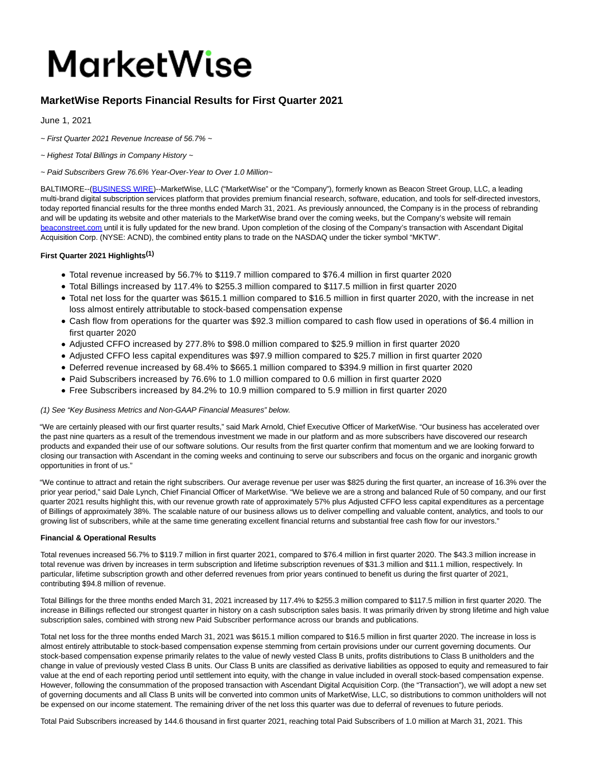# **MarketWise**

# **MarketWise Reports Financial Results for First Quarter 2021**

June 1, 2021

- $\sim$  First Quarter 2021 Revenue Increase of 56.7%  $\sim$
- ~ Highest Total Billings in Company History ~
- ~ Paid Subscribers Grew 76.6% Year-Over-Year to Over 1.0 Million~

BALTIMORE--[\(BUSINESS WIRE\)-](https://www.businesswire.com/)-MarketWise, LLC ("MarketWise" or the "Company"), formerly known as Beacon Street Group, LLC, a leading multi-brand digital subscription services platform that provides premium financial research, software, education, and tools for self-directed investors, today reported financial results for the three months ended March 31, 2021. As previously announced, the Company is in the process of rebranding and will be updating its website and other materials to the MarketWise brand over the coming weeks, but the Company's website will remain [beaconstreet.com u](https://cts.businesswire.com/ct/CT?id=smartlink&url=http%3A%2F%2Fwww.beaconstreet.com&esheet=52437595&newsitemid=20210601005185&lan=en-US&anchor=beaconstreet.com&index=1&md5=6519b33c7a2cd1dff2f31b34cdf79333)ntil it is fully updated for the new brand. Upon completion of the closing of the Company's transaction with Ascendant Digital Acquisition Corp. (NYSE: ACND), the combined entity plans to trade on the NASDAQ under the ticker symbol "MKTW".

# **First Quarter 2021 Highlights(1)**

- Total revenue increased by 56.7% to \$119.7 million compared to \$76.4 million in first quarter 2020
- Total Billings increased by 117.4% to \$255.3 million compared to \$117.5 million in first quarter 2020
- Total net loss for the quarter was \$615.1 million compared to \$16.5 million in first quarter 2020, with the increase in net loss almost entirely attributable to stock-based compensation expense
- Cash flow from operations for the quarter was \$92.3 million compared to cash flow used in operations of \$6.4 million in first quarter 2020
- Adjusted CFFO increased by 277.8% to \$98.0 million compared to \$25.9 million in first quarter 2020
- Adjusted CFFO less capital expenditures was \$97.9 million compared to \$25.7 million in first quarter 2020
- Deferred revenue increased by 68.4% to \$665.1 million compared to \$394.9 million in first quarter 2020
- Paid Subscribers increased by 76.6% to 1.0 million compared to 0.6 million in first quarter 2020
- Free Subscribers increased by 84.2% to 10.9 million compared to 5.9 million in first quarter 2020

## (1) See "Key Business Metrics and Non-GAAP Financial Measures" below.

"We are certainly pleased with our first quarter results," said Mark Arnold, Chief Executive Officer of MarketWise. "Our business has accelerated over the past nine quarters as a result of the tremendous investment we made in our platform and as more subscribers have discovered our research products and expanded their use of our software solutions. Our results from the first quarter confirm that momentum and we are looking forward to closing our transaction with Ascendant in the coming weeks and continuing to serve our subscribers and focus on the organic and inorganic growth opportunities in front of us."

"We continue to attract and retain the right subscribers. Our average revenue per user was \$825 during the first quarter, an increase of 16.3% over the prior year period," said Dale Lynch, Chief Financial Officer of MarketWise. "We believe we are a strong and balanced Rule of 50 company, and our first quarter 2021 results highlight this, with our revenue growth rate of approximately 57% plus Adjusted CFFO less capital expenditures as a percentage of Billings of approximately 38%. The scalable nature of our business allows us to deliver compelling and valuable content, analytics, and tools to our growing list of subscribers, while at the same time generating excellent financial returns and substantial free cash flow for our investors."

## **Financial & Operational Results**

Total revenues increased 56.7% to \$119.7 million in first quarter 2021, compared to \$76.4 million in first quarter 2020. The \$43.3 million increase in total revenue was driven by increases in term subscription and lifetime subscription revenues of \$31.3 million and \$11.1 million, respectively. In particular, lifetime subscription growth and other deferred revenues from prior years continued to benefit us during the first quarter of 2021, contributing \$94.8 million of revenue.

Total Billings for the three months ended March 31, 2021 increased by 117.4% to \$255.3 million compared to \$117.5 million in first quarter 2020. The increase in Billings reflected our strongest quarter in history on a cash subscription sales basis. It was primarily driven by strong lifetime and high value subscription sales, combined with strong new Paid Subscriber performance across our brands and publications.

Total net loss for the three months ended March 31, 2021 was \$615.1 million compared to \$16.5 million in first quarter 2020. The increase in loss is almost entirely attributable to stock-based compensation expense stemming from certain provisions under our current governing documents. Our stock-based compensation expense primarily relates to the value of newly vested Class B units, profits distributions to Class B unitholders and the change in value of previously vested Class B units. Our Class B units are classified as derivative liabilities as opposed to equity and remeasured to fair value at the end of each reporting period until settlement into equity, with the change in value included in overall stock-based compensation expense. However, following the consummation of the proposed transaction with Ascendant Digital Acquisition Corp. (the "Transaction"), we will adopt a new set of governing documents and all Class B units will be converted into common units of MarketWise, LLC, so distributions to common unitholders will not be expensed on our income statement. The remaining driver of the net loss this quarter was due to deferral of revenues to future periods.

Total Paid Subscribers increased by 144.6 thousand in first quarter 2021, reaching total Paid Subscribers of 1.0 million at March 31, 2021. This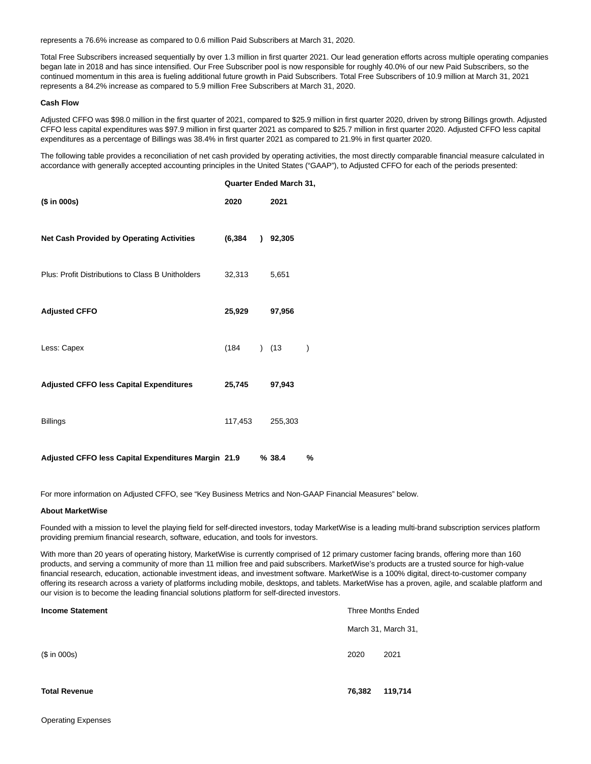represents a 76.6% increase as compared to 0.6 million Paid Subscribers at March 31, 2020.

Total Free Subscribers increased sequentially by over 1.3 million in first quarter 2021. Our lead generation efforts across multiple operating companies began late in 2018 and has since intensified. Our Free Subscriber pool is now responsible for roughly 40.0% of our new Paid Subscribers, so the continued momentum in this area is fueling additional future growth in Paid Subscribers. Total Free Subscribers of 10.9 million at March 31, 2021 represents a 84.2% increase as compared to 5.9 million Free Subscribers at March 31, 2020.

#### **Cash Flow**

Adjusted CFFO was \$98.0 million in the first quarter of 2021, compared to \$25.9 million in first quarter 2020, driven by strong Billings growth. Adjusted CFFO less capital expenditures was \$97.9 million in first quarter 2021 as compared to \$25.7 million in first quarter 2020. Adjusted CFFO less capital expenditures as a percentage of Billings was 38.4% in first quarter 2021 as compared to 21.9% in first quarter 2020.

The following table provides a reconciliation of net cash provided by operating activities, the most directly comparable financial measure calculated in accordance with generally accepted accounting principles in the United States ("GAAP"), to Adjusted CFFO for each of the periods presented:

|                                                     | <b>Quarter Ended March 31,</b> |  |            |               |
|-----------------------------------------------------|--------------------------------|--|------------|---------------|
| (\$ in 000s)                                        | 2020                           |  | 2021       |               |
| <b>Net Cash Provided by Operating Activities</b>    | (6, 384)                       |  | $)$ 92,305 |               |
| Plus: Profit Distributions to Class B Unitholders   | 32,313                         |  | 5,651      |               |
| <b>Adjusted CFFO</b>                                | 25,929                         |  | 97,956     |               |
| Less: Capex                                         | (184)                          |  | (13)       | $\mathcal{E}$ |
| <b>Adjusted CFFO less Capital Expenditures</b>      | 25,745                         |  | 97,943     |               |
| <b>Billings</b>                                     | 117,453                        |  | 255,303    |               |
| Adjusted CFFO less Capital Expenditures Margin 21.9 |                                |  | %38.4      | %             |

For more information on Adjusted CFFO, see "Key Business Metrics and Non-GAAP Financial Measures" below.

#### **About MarketWise**

Founded with a mission to level the playing field for self-directed investors, today MarketWise is a leading multi-brand subscription services platform providing premium financial research, software, education, and tools for investors.

With more than 20 years of operating history, MarketWise is currently comprised of 12 primary customer facing brands, offering more than 160 products, and serving a community of more than 11 million free and paid subscribers. MarketWise's products are a trusted source for high-value financial research, education, actionable investment ideas, and investment software. MarketWise is a 100% digital, direct-to-customer company offering its research across a variety of platforms including mobile, desktops, and tablets. MarketWise has a proven, agile, and scalable platform and our vision is to become the leading financial solutions platform for self-directed investors.

| <b>Income Statement</b> | <b>Three Months Ended</b> |
|-------------------------|---------------------------|
|                         | March 31, March 31,       |
| (\$ in 000s)            | 2020<br>2021              |
| <b>Total Revenue</b>    | 76,382<br>119,714         |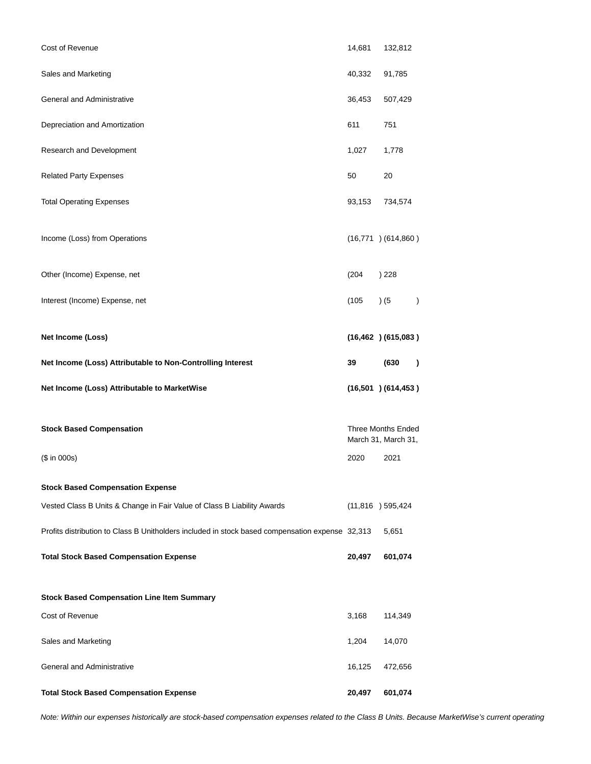| Cost of Revenue                                                                                 | 14,681                                           | 132,812                  |               |
|-------------------------------------------------------------------------------------------------|--------------------------------------------------|--------------------------|---------------|
| Sales and Marketing                                                                             | 40,332                                           | 91,785                   |               |
| General and Administrative                                                                      | 36,453                                           | 507,429                  |               |
| Depreciation and Amortization                                                                   | 611                                              | 751                      |               |
| Research and Development                                                                        | 1,027                                            | 1,778                    |               |
| <b>Related Party Expenses</b>                                                                   | 50                                               | 20                       |               |
| <b>Total Operating Expenses</b>                                                                 | 93,153<br>734,574                                |                          |               |
| Income (Loss) from Operations                                                                   |                                                  | $(16,771)$ $(614,860)$   |               |
| Other (Income) Expense, net                                                                     | (204)                                            | ) 228                    |               |
| Interest (Income) Expense, net                                                                  | (105)                                            | ) (5                     | $\mathcal{C}$ |
| Net Income (Loss)                                                                               |                                                  | $(16, 462)$ $(615, 083)$ |               |
| Net Income (Loss) Attributable to Non-Controlling Interest                                      | 39                                               | (630)                    | $\lambda$     |
| Net Income (Loss) Attributable to MarketWise                                                    |                                                  | $(16,501)$ $(614,453)$   |               |
| <b>Stock Based Compensation</b>                                                                 | <b>Three Months Ended</b><br>March 31, March 31, |                          |               |
| (\$ in 000s)                                                                                    | 2020                                             | 2021                     |               |
| <b>Stock Based Compensation Expense</b>                                                         |                                                  |                          |               |
| Vested Class B Units & Change in Fair Value of Class B Liability Awards                         |                                                  | $(11,816)$ 595,424       |               |
| Profits distribution to Class B Unitholders included in stock based compensation expense 32,313 |                                                  | 5,651                    |               |
| <b>Total Stock Based Compensation Expense</b>                                                   | 20,497                                           | 601,074                  |               |
| <b>Stock Based Compensation Line Item Summary</b>                                               |                                                  |                          |               |
| Cost of Revenue                                                                                 | 3,168                                            | 114,349                  |               |
| Sales and Marketing                                                                             | 1,204                                            | 14,070                   |               |
|                                                                                                 |                                                  |                          |               |
| General and Administrative                                                                      | 16,125                                           | 472,656                  |               |

Note: Within our expenses historically are stock-based compensation expenses related to the Class B Units. Because MarketWise's current operating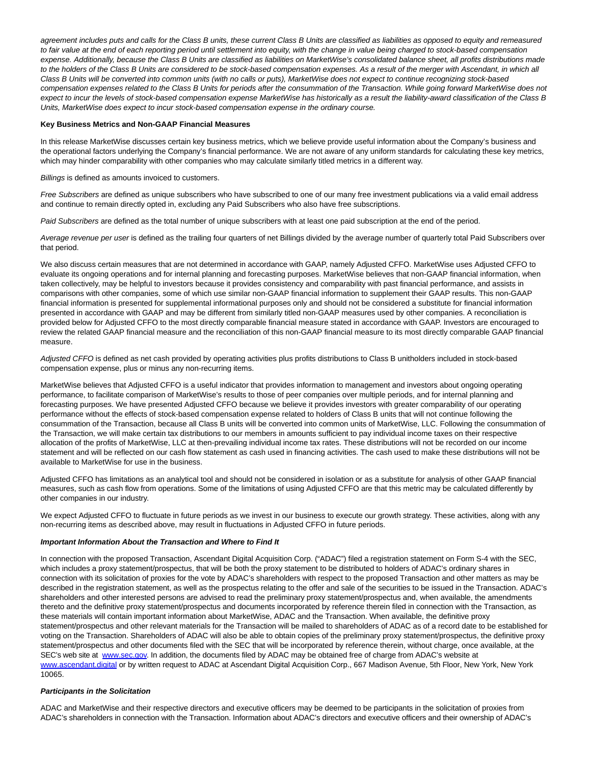agreement includes puts and calls for the Class B units, these current Class B Units are classified as liabilities as opposed to equity and remeasured to fair value at the end of each reporting period until settlement into equity, with the change in value being charged to stock-based compensation expense. Additionally, because the Class B Units are classified as liabilities on MarketWise's consolidated balance sheet, all profits distributions made to the holders of the Class B Units are considered to be stock-based compensation expenses. As a result of the merger with Ascendant, in which all Class B Units will be converted into common units (with no calls or puts), MarketWise does not expect to continue recognizing stock-based compensation expenses related to the Class B Units for periods after the consummation of the Transaction. While going forward MarketWise does not expect to incur the levels of stock-based compensation expense MarketWise has historically as a result the liability-award classification of the Class B Units, MarketWise does expect to incur stock-based compensation expense in the ordinary course.

#### **Key Business Metrics and Non-GAAP Financial Measures**

In this release MarketWise discusses certain key business metrics, which we believe provide useful information about the Company's business and the operational factors underlying the Company's financial performance. We are not aware of any uniform standards for calculating these key metrics, which may hinder comparability with other companies who may calculate similarly titled metrics in a different way.

Billings is defined as amounts invoiced to customers.

Free Subscribers are defined as unique subscribers who have subscribed to one of our many free investment publications via a valid email address and continue to remain directly opted in, excluding any Paid Subscribers who also have free subscriptions.

Paid Subscribers are defined as the total number of unique subscribers with at least one paid subscription at the end of the period.

Average revenue per user is defined as the trailing four quarters of net Billings divided by the average number of quarterly total Paid Subscribers over that period.

We also discuss certain measures that are not determined in accordance with GAAP, namely Adjusted CFFO. MarketWise uses Adjusted CFFO to evaluate its ongoing operations and for internal planning and forecasting purposes. MarketWise believes that non-GAAP financial information, when taken collectively, may be helpful to investors because it provides consistency and comparability with past financial performance, and assists in comparisons with other companies, some of which use similar non-GAAP financial information to supplement their GAAP results. This non-GAAP financial information is presented for supplemental informational purposes only and should not be considered a substitute for financial information presented in accordance with GAAP and may be different from similarly titled non-GAAP measures used by other companies. A reconciliation is provided below for Adjusted CFFO to the most directly comparable financial measure stated in accordance with GAAP. Investors are encouraged to review the related GAAP financial measure and the reconciliation of this non-GAAP financial measure to its most directly comparable GAAP financial measure.

Adjusted CFFO is defined as net cash provided by operating activities plus profits distributions to Class B unitholders included in stock-based compensation expense, plus or minus any non-recurring items.

MarketWise believes that Adjusted CFFO is a useful indicator that provides information to management and investors about ongoing operating performance, to facilitate comparison of MarketWise's results to those of peer companies over multiple periods, and for internal planning and forecasting purposes. We have presented Adjusted CFFO because we believe it provides investors with greater comparability of our operating performance without the effects of stock-based compensation expense related to holders of Class B units that will not continue following the consummation of the Transaction, because all Class B units will be converted into common units of MarketWise, LLC. Following the consummation of the Transaction, we will make certain tax distributions to our members in amounts sufficient to pay individual income taxes on their respective allocation of the profits of MarketWise, LLC at then-prevailing individual income tax rates. These distributions will not be recorded on our income statement and will be reflected on our cash flow statement as cash used in financing activities. The cash used to make these distributions will not be available to MarketWise for use in the business.

Adjusted CFFO has limitations as an analytical tool and should not be considered in isolation or as a substitute for analysis of other GAAP financial measures, such as cash flow from operations. Some of the limitations of using Adjusted CFFO are that this metric may be calculated differently by other companies in our industry.

We expect Adjusted CFFO to fluctuate in future periods as we invest in our business to execute our growth strategy. These activities, along with any non-recurring items as described above, may result in fluctuations in Adjusted CFFO in future periods.

#### **Important Information About the Transaction and Where to Find It**

In connection with the proposed Transaction, Ascendant Digital Acquisition Corp. ("ADAC") filed a registration statement on Form S-4 with the SEC, which includes a proxy statement/prospectus, that will be both the proxy statement to be distributed to holders of ADAC's ordinary shares in connection with its solicitation of proxies for the vote by ADAC's shareholders with respect to the proposed Transaction and other matters as may be described in the registration statement, as well as the prospectus relating to the offer and sale of the securities to be issued in the Transaction. ADAC's shareholders and other interested persons are advised to read the preliminary proxy statement/prospectus and, when available, the amendments thereto and the definitive proxy statement/prospectus and documents incorporated by reference therein filed in connection with the Transaction, as these materials will contain important information about MarketWise, ADAC and the Transaction. When available, the definitive proxy statement/prospectus and other relevant materials for the Transaction will be mailed to shareholders of ADAC as of a record date to be established for voting on the Transaction. Shareholders of ADAC will also be able to obtain copies of the preliminary proxy statement/prospectus, the definitive proxy statement/prospectus and other documents filed with the SEC that will be incorporated by reference therein, without charge, once available, at the SEC's web site at [www.sec.gov.](https://cts.businesswire.com/ct/CT?id=smartlink&url=http%3A%2F%2Fwww.sec.gov&esheet=52437595&newsitemid=20210601005185&lan=en-US&anchor=www.sec.gov&index=2&md5=bc3ce0ef8d3bf6a173bf937095d879f8) In addition, the documents filed by ADAC may be obtained free of charge from ADAC's website at [www.ascendant.digital o](https://cts.businesswire.com/ct/CT?id=smartlink&url=http%3A%2F%2Fwww.ascendant.digital&esheet=52437595&newsitemid=20210601005185&lan=en-US&anchor=www.ascendant.digital&index=3&md5=dc5a57344d90d2ca39d4ee0edc3d7f4c)r by written request to ADAC at Ascendant Digital Acquisition Corp., 667 Madison Avenue, 5th Floor, New York, New York 10065.

#### **Participants in the Solicitation**

ADAC and MarketWise and their respective directors and executive officers may be deemed to be participants in the solicitation of proxies from ADAC's shareholders in connection with the Transaction. Information about ADAC's directors and executive officers and their ownership of ADAC's